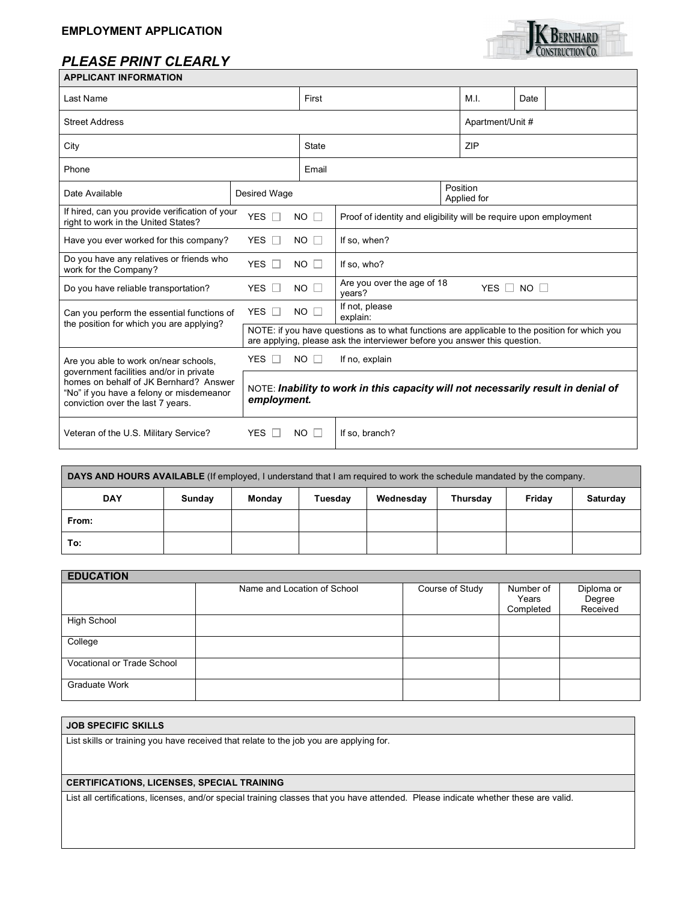## *PLEASE PRINT CLEARLY*



| <b>APPLICANT INFORMATION</b>                                                                                                                                       |                                                                                                                                                                            |                                                                                                  |                                                              |                         |                  |  |  |
|--------------------------------------------------------------------------------------------------------------------------------------------------------------------|----------------------------------------------------------------------------------------------------------------------------------------------------------------------------|--------------------------------------------------------------------------------------------------|--------------------------------------------------------------|-------------------------|------------------|--|--|
| Last Name                                                                                                                                                          |                                                                                                                                                                            |                                                                                                  | First                                                        |                         | Date             |  |  |
| <b>Street Address</b>                                                                                                                                              |                                                                                                                                                                            |                                                                                                  |                                                              |                         | Apartment/Unit # |  |  |
| City                                                                                                                                                               |                                                                                                                                                                            |                                                                                                  |                                                              | ZIP                     |                  |  |  |
| Phone                                                                                                                                                              |                                                                                                                                                                            |                                                                                                  | Email                                                        |                         |                  |  |  |
| Date Available                                                                                                                                                     | Desired Wage                                                                                                                                                               |                                                                                                  |                                                              | Position<br>Applied for |                  |  |  |
| If hired, can you provide verification of your<br>right to work in the United States?                                                                              | <b>YES</b>                                                                                                                                                                 | NO.<br>Proof of identity and eligibility will be require upon employment<br>$\Box$               |                                                              |                         |                  |  |  |
| YES $\Box$<br>NO.<br>Have you ever worked for this company?                                                                                                        |                                                                                                                                                                            |                                                                                                  | If so, when?                                                 |                         |                  |  |  |
| Do you have any relatives or friends who<br>YES $\Box$<br>NO.<br>work for the Company?                                                                             |                                                                                                                                                                            | $\mathbf{L}$                                                                                     | If so, who?                                                  |                         |                  |  |  |
| YES I<br>Do you have reliable transportation?                                                                                                                      |                                                                                                                                                                            | NO.                                                                                              | Are you over the age of 18<br>YES $\Box$ NO $\Box$<br>years? |                         |                  |  |  |
| Can you perform the essential functions of<br>the position for which you are applying?                                                                             | <b>YES</b><br>$\mathbb{R}^n$                                                                                                                                               | NO.                                                                                              | If not, please<br>explain:                                   |                         |                  |  |  |
|                                                                                                                                                                    | NOTE: if you have questions as to what functions are applicable to the position for which you<br>are applying, please ask the interviewer before you answer this question. |                                                                                                  |                                                              |                         |                  |  |  |
| Are you able to work on/near schools,                                                                                                                              | YES $\Box$                                                                                                                                                                 | NO.<br>$\mathbf{I}$                                                                              | If no, explain                                               |                         |                  |  |  |
| government facilities and/or in private<br>homes on behalf of JK Bernhard? Answer<br>"No" if you have a felony or misdemeanor<br>conviction over the last 7 years. |                                                                                                                                                                            | NOTE: Inability to work in this capacity will not necessarily result in denial of<br>employment. |                                                              |                         |                  |  |  |
| Veteran of the U.S. Military Service?<br><b>YES</b>                                                                                                                |                                                                                                                                                                            | <b>NO</b>                                                                                        | If so, branch?                                               |                         |                  |  |  |

| DAYS AND HOURS AVAILABLE (If employed, I understand that I am required to work the schedule mandated by the company. |        |        |         |           |          |        |          |
|----------------------------------------------------------------------------------------------------------------------|--------|--------|---------|-----------|----------|--------|----------|
| <b>DAY</b>                                                                                                           | Sunday | Monday | Tuesday | Wednesday | Thursday | Friday | Saturday |
| From:                                                                                                                |        |        |         |           |          |        |          |
| To:                                                                                                                  |        |        |         |           |          |        |          |

| <b>EDUCATION</b>                  |                             |                 |           |            |  |  |  |
|-----------------------------------|-----------------------------|-----------------|-----------|------------|--|--|--|
|                                   | Name and Location of School | Course of Study | Number of | Diploma or |  |  |  |
|                                   |                             |                 | Years     | Degree     |  |  |  |
|                                   |                             |                 | Completed | Received   |  |  |  |
| High School                       |                             |                 |           |            |  |  |  |
| College                           |                             |                 |           |            |  |  |  |
| <b>Vocational or Trade School</b> |                             |                 |           |            |  |  |  |
| Graduate Work                     |                             |                 |           |            |  |  |  |

## **JOB SPECIFIC SKILLS**

List skills or training you have received that relate to the job you are applying for.

## **CERTIFICATIONS, LICENSES, SPECIAL TRAINING**

List all certifications, licenses, and/or special training classes that you have attended. Please indicate whether these are valid.